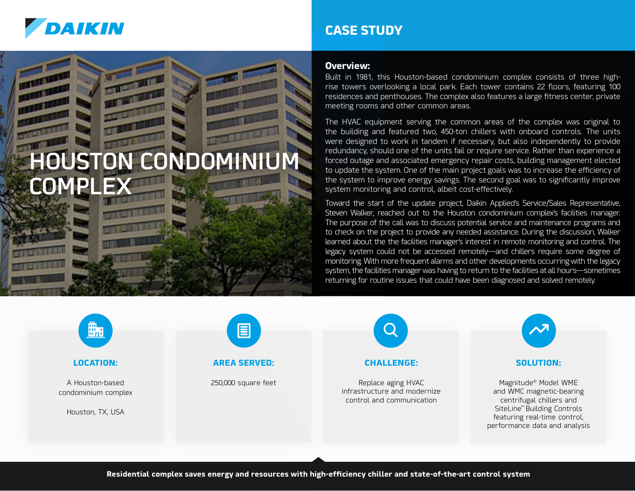

# **HOUSTON CONDOMI** CO

## **CASE STUDY**

#### **Overview:**

Built in 1981, this Houston-based condominium complex consists of three highrise towers overlooking a local park. Each tower contains 22 floors, featuring 100 residences and penthouses. The complex also features a large fitness center, private meeting rooms and other common areas.

The HVAC equipment serving the common areas of the complex was original to the building and featured two, 450-ton chillers with onboard controls. The units were designed to work in tandem if necessary, but also independently to provide redundancy, should one of the units fail or require service. Rather than experience a forced outage and associated emergency repair costs, building management elected to update the system. One of the main project goals was to increase the efficiency of the system to improve energy savings. The second goal was to significantly improve system monitoring and control, albeit cost-effectively.

Toward the start of the update project, Daikin Applied's Service/Sales Representative, Steven Walker, reached out to the Houston condominium complex's facilities manager. The purpose of the call was to discuss potential service and maintenance programs and to check on the project to provide any needed assistance. During the discussion, Walker learned about the the facilities manager's interest in remote monitoring and control. The legacy system could not be accessed remotely—and chillers require some degree of monitoring. With more frequent alarms and other developments occurring with the legacy system, the facilities manager was having to return to the facilities at all hours—sometimes returning for routine issues that could have been diagnosed and solved remotely.

#### **LOCATION:**

A Houston-based condominium complex

Houston, TX, USA



#### **AREA SERVED:**

250,000 square feet



Replace aging HVAC infrastructure and modernize control and communication



#### **SOLUTION:**

Magnitude® Model WME and WMC magnetic-bearing centrifugal chillers and SiteLine™ Building Controls featuring real-time control, performance data and analysis